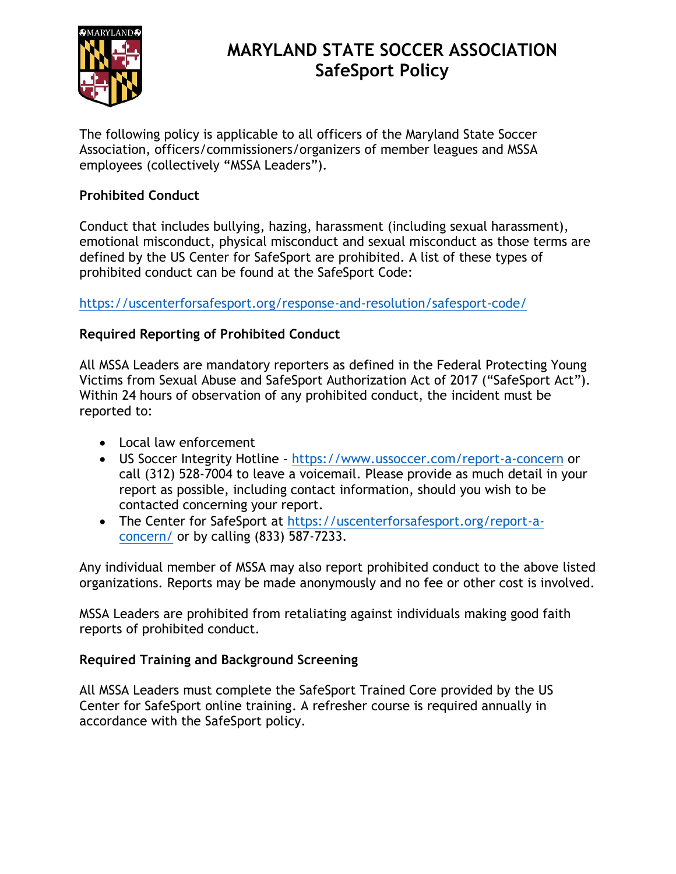

# **MARYLAND STATE SOCCER ASSOCIATION SafeSport Policy**

The following policy is applicable to all officers of the Maryland State Soccer Association, officers/commissioners/organizers of member leagues and MSSA employees (collectively "MSSA Leaders").

### **Prohibited Conduct**

Conduct that includes bullying, hazing, harassment (including sexual harassment), emotional misconduct, physical misconduct and sexual misconduct as those terms are defined by the US Center for SafeSport are prohibited. A list of these types of prohibited conduct can be found at the SafeSport Code:

<https://uscenterforsafesport.org/response-and-resolution/safesport-code/>

## **Required Reporting of Prohibited Conduct**

All MSSA Leaders are mandatory reporters as defined in the Federal Protecting Young Victims from Sexual Abuse and SafeSport Authorization Act of 2017 ("SafeSport Act"). Within 24 hours of observation of any prohibited conduct, the incident must be reported to:

- Local law enforcement
- US Soccer Integrity Hotline <https://www.ussoccer.com/report-a-concern> or call (312) 528-7004 to leave a voicemail. Please provide as much detail in your report as possible, including contact information, should you wish to be contacted concerning your report.
- The Center for SafeSport at [https://uscenterforsafesport.org/report-a](https://uscenterforsafesport.org/report-a-concern/)[concern/](https://uscenterforsafesport.org/report-a-concern/) or by calling (833) 587-7233.

Any individual member of MSSA may also report prohibited conduct to the above listed organizations. Reports may be made anonymously and no fee or other cost is involved.

MSSA Leaders are prohibited from retaliating against individuals making good faith reports of prohibited conduct.

### **Required Training and Background Screening**

All MSSA Leaders must complete the SafeSport Trained Core provided by the US Center for SafeSport online training. A refresher course is required annually in accordance with the SafeSport policy.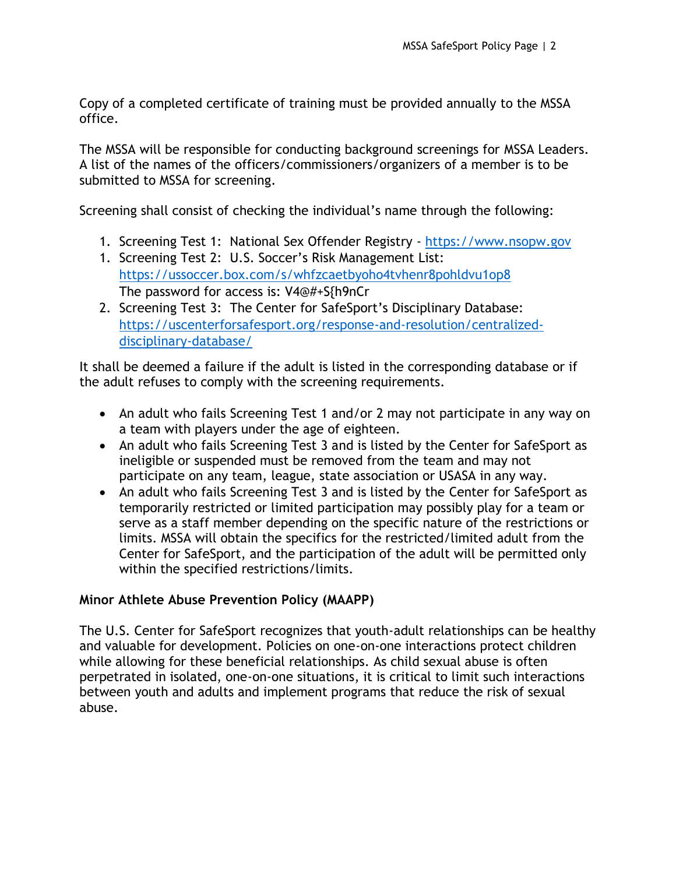Copy of a completed certificate of training must be provided annually to the MSSA office.

The MSSA will be responsible for conducting background screenings for MSSA Leaders. A list of the names of the officers/commissioners/organizers of a member is to be submitted to MSSA for screening.

Screening shall consist of checking the individual's name through the following:

- 1. Screening Test 1: National Sex Offender Registry [https://www.nsopw.gov](https://www.nsopw.gov/)
- 1. Screening Test 2: U.S. Soccer's Risk Management List: <https://ussoccer.box.com/s/whfzcaetbyoho4tvhenr8pohldvu1op8> The password for access is: V4@#+S{h9nCr
- 2. Screening Test 3: The Center for SafeSport's Disciplinary Database: [https://uscenterforsafesport.org/response-and-resolution/centralized](https://uscenterforsafesport.org/response-and-resolution/centralized-disciplinary-database/)[disciplinary-database/](https://uscenterforsafesport.org/response-and-resolution/centralized-disciplinary-database/)

It shall be deemed a failure if the adult is listed in the corresponding database or if the adult refuses to comply with the screening requirements.

- An adult who fails Screening Test 1 and/or 2 may not participate in any way on a team with players under the age of eighteen.
- An adult who fails Screening Test 3 and is listed by the Center for SafeSport as ineligible or suspended must be removed from the team and may not participate on any team, league, state association or USASA in any way.
- An adult who fails Screening Test 3 and is listed by the Center for SafeSport as temporarily restricted or limited participation may possibly play for a team or serve as a staff member depending on the specific nature of the restrictions or limits. MSSA will obtain the specifics for the restricted/limited adult from the Center for SafeSport, and the participation of the adult will be permitted only within the specified restrictions/limits.

### **Minor Athlete Abuse Prevention Policy (MAAPP)**

The U.S. Center for SafeSport recognizes that youth-adult relationships can be healthy and valuable for development. Policies on one-on-one interactions protect children while allowing for these beneficial relationships. As child sexual abuse is often perpetrated in isolated, one-on-one situations, it is critical to limit such interactions between youth and adults and implement programs that reduce the risk of sexual abuse.